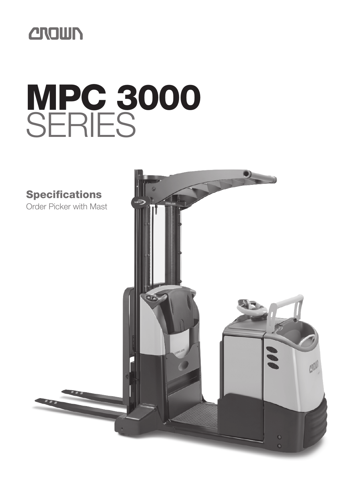

# **MPC 3000** SERIES

**Specifications**

Order Picker with Mast

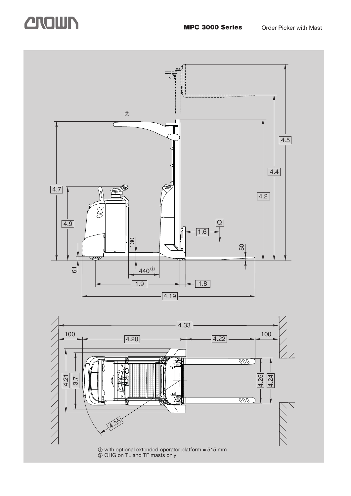### **CROUN** MPC 3000 Series Order Picker with Mast

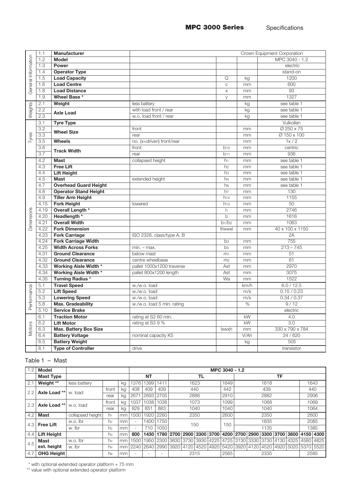|                     | 1.1              | Manufacturer                                            |                             | Crown Equipment Corporation      |          |                       |  |  |  |  |  |  |  |
|---------------------|------------------|---------------------------------------------------------|-----------------------------|----------------------------------|----------|-----------------------|--|--|--|--|--|--|--|
| General Information | 1.2              | <b>Model</b>                                            |                             |                                  |          | MPC 3040 - 1.2        |  |  |  |  |  |  |  |
|                     | 1.3              | Power                                                   |                             |                                  |          | electric              |  |  |  |  |  |  |  |
|                     | 1.4              | <b>Operator Type</b>                                    |                             |                                  |          | stand-on              |  |  |  |  |  |  |  |
|                     | 1.5              | <b>Load Capacity</b>                                    |                             | Q                                | kg       | 1200                  |  |  |  |  |  |  |  |
|                     | 1.6              | <b>Load Centre</b>                                      |                             | $\mathsf C$                      | mm       | 600                   |  |  |  |  |  |  |  |
|                     | 1.8              | <b>Load Distance</b>                                    |                             | $\mathsf X$                      | mm       | 93                    |  |  |  |  |  |  |  |
|                     | 1.9              | Wheel Base *                                            |                             | y                                | mm       | 1327                  |  |  |  |  |  |  |  |
| Weights             | 2.1              | Weight                                                  | less battery                |                                  | kg       | see table 1           |  |  |  |  |  |  |  |
|                     | 2.2              | <b>Axle Load</b>                                        | with load front / rear      |                                  | kg       | see table 1           |  |  |  |  |  |  |  |
|                     | 2.3              |                                                         | w.o. load front / rear      |                                  | kg       | see table 1           |  |  |  |  |  |  |  |
|                     | 3.1              | <b>Tyre Type</b>                                        |                             |                                  |          | Vulkollan             |  |  |  |  |  |  |  |
|                     | 3.2              | <b>Wheel Size</b>                                       | front                       |                                  | mm       | Ø 250 x 75            |  |  |  |  |  |  |  |
| Tyres               | $\overline{3.3}$ |                                                         | rear                        |                                  | mm       | Ø 150 x 100           |  |  |  |  |  |  |  |
|                     | 3.5              | <b>Wheels</b>                                           | no. (x=driven) front/rear   |                                  | mm       | 1x/2                  |  |  |  |  |  |  |  |
|                     | 3.6              | <b>Track Width</b>                                      | front                       | b10                              | mm       | centric               |  |  |  |  |  |  |  |
|                     | 3.7              |                                                         | rear                        | b11                              | mm       | 936                   |  |  |  |  |  |  |  |
|                     | 4.2              | <b>Mast</b>                                             | collapsed height            | h <sub>1</sub>                   | mm       | see table 1           |  |  |  |  |  |  |  |
|                     | 4.3              | <b>Free Lift</b>                                        |                             | h2                               | mm       | see table 1           |  |  |  |  |  |  |  |
|                     | 4.4              | <b>Lift Height</b>                                      |                             | h <sub>3</sub>                   | mm       | see table 1           |  |  |  |  |  |  |  |
|                     | 4.5              | <b>Mast</b>                                             | extended height             | h4                               | mm       | see table 1           |  |  |  |  |  |  |  |
|                     | 4.7              | <b>Overhead Guard Height</b>                            |                             | h <sub>6</sub>                   | mm       | see table 1           |  |  |  |  |  |  |  |
|                     | 4.8              | <b>Operator Stand Height</b>                            |                             | h7                               | mm       | 130                   |  |  |  |  |  |  |  |
|                     | 4.9              | <b>Tiller Arm Height</b>                                |                             | h14                              | mm       | 1155                  |  |  |  |  |  |  |  |
|                     | 4.15             | <b>Fork Height</b>                                      | lowered                     | h13                              | mm       | $\overline{50}$       |  |  |  |  |  |  |  |
|                     | 4.19             | Overall Length *                                        |                             | $ _1$                            | mm       | 2746                  |  |  |  |  |  |  |  |
|                     | 4.20             | Headlength *                                            |                             | 2                                | mm       | 1616                  |  |  |  |  |  |  |  |
| Dimensions          | 4.21             | <b>Overall Width</b>                                    |                             | b1/b2                            | mm       | 1063                  |  |  |  |  |  |  |  |
|                     | 4.22             | <b>Fork Dimension</b>                                   |                             | thxwxl                           | mm       | 40 x 100 x 1150<br>2A |  |  |  |  |  |  |  |
|                     | 4.23<br>4.24     | <b>Fork Carriage</b>                                    | ISO 2328, class/type A, B   |                                  |          | 755                   |  |  |  |  |  |  |  |
|                     | 4.25             | <b>Fork Carriage Width</b><br><b>Width Across Forks</b> |                             | b <sub>3</sub><br>b <sub>5</sub> | mm       | $213 - 745$           |  |  |  |  |  |  |  |
|                     | 4.31             | <b>Ground Clearance</b>                                 | $min. - max.$<br>below mast |                                  | mm       | 51                    |  |  |  |  |  |  |  |
|                     | 4.32             | <b>Ground Clearance</b>                                 | centre wheelbase            | m <sub>1</sub><br>m <sub>2</sub> | mm<br>mm | 61                    |  |  |  |  |  |  |  |
|                     | 4.33             | <b>Working Aisle Width *</b>                            | pallet 1000x1200 traverse   | Ast                              | mm       | 2970                  |  |  |  |  |  |  |  |
|                     | 4.34             | <b>Working Aisle Width *</b>                            | pallet 800x1200 length      | Ast                              | mm       | 3075                  |  |  |  |  |  |  |  |
|                     | 4.35             | <b>Turning Radius*</b>                                  |                             | Wa                               | mm       | 1522                  |  |  |  |  |  |  |  |
|                     | 5.1              | <b>Travel Speed</b>                                     | w./w.o. load                |                                  | km/h     | 6.0 / 12.5            |  |  |  |  |  |  |  |
| Performance         | 5.2              | <b>Lift Speed</b>                                       | w./w.o. load                |                                  | m/s      | 0.15 / 0.23           |  |  |  |  |  |  |  |
|                     | 5.3              | <b>Lowering Speed</b>                                   | w./w.o. load                |                                  | m/s      | 0.34 / 0.37           |  |  |  |  |  |  |  |
|                     | 5.8              | Max. Gradeability                                       | w./w.o. load 5 min. rating  |                                  | %        | 9/12                  |  |  |  |  |  |  |  |
|                     | 5.10             | <b>Service Brake</b>                                    |                             |                                  |          | electric              |  |  |  |  |  |  |  |
|                     | 6.1              | <b>Traction Motor</b>                                   | rating at S2 60 min.        |                                  | kW       | 4.0                   |  |  |  |  |  |  |  |
|                     | 6.2              | <b>Lift Motor</b>                                       | rating at S3 9 %            |                                  | kW       | $\overline{3.0}$      |  |  |  |  |  |  |  |
| <b>Motors</b>       | 6.3              | <b>Max. Battery Box Size</b>                            |                             | <b>Ixwxh</b>                     | mm       | 330 x 790 x 784       |  |  |  |  |  |  |  |
|                     | 6.4              | <b>Battery Voltage</b>                                  | nominal capacity K5         |                                  | V/Ah     | 24 / 620              |  |  |  |  |  |  |  |
|                     | 6.5              | <b>Battery Weight</b>                                   |                             |                                  | kg       | 505                   |  |  |  |  |  |  |  |
|                     | 8.1              | <b>Type of Controller</b>                               | drive                       |                                  |          | transistor            |  |  |  |  |  |  |  |
|                     |                  |                                                         |                             |                                  |          |                       |  |  |  |  |  |  |  |

### Table 1 – Mast

| 1.2 | Model              |                  | MPC 3040 - 1.2 |           |        |      |      |      |                |  |           |                |  |  |      |                                  |      |                                                                  |      |
|-----|--------------------|------------------|----------------|-----------|--------|------|------|------|----------------|--|-----------|----------------|--|--|------|----------------------------------|------|------------------------------------------------------------------|------|
|     | <b>Mast Type</b>   |                  |                | <b>NT</b> |        |      | TL   |      |                |  | TF        |                |  |  |      |                                  |      |                                                                  |      |
| 2.1 | Weight **          | less battery     |                | kg        | 1376   | 399  | 1411 | 1623 |                |  | 1649      | 1618           |  |  |      | 1643                             |      |                                                                  |      |
| 2.2 | Axle Load **       | w. load          | front          | kg        | 408    | 409  | 409  | 440  |                |  | 442       | 439            |  |  |      | 440                              |      |                                                                  |      |
|     |                    |                  | rear           | kg        | 267    | 2693 | 2705 | 2886 |                |  | 2910      | 2882           |  |  |      |                                  | 2906 |                                                                  |      |
| 2.3 | Axle Load **       | w.o. load        | front          | kg        | 037    | 1038 | 1038 | 1073 |                |  | 1099      | 1068           |  |  |      | 1069                             |      |                                                                  |      |
|     |                    |                  | rear           | kg        | 829    | 851  | 863  | 1040 |                |  | 1040      | 1040           |  |  | 1064 |                                  |      |                                                                  |      |
| 4.2 | <b>Mast</b>        | collapsed height | h1             | mm        | 500    | 1920 | 2260 | 2350 |                |  | 2600      | 2350           |  |  |      |                                  | 2600 |                                                                  |      |
| 4.3 | <b>Free Lift</b>   | w.o. lbr         | h2             | mm        | $\sim$ | 1400 | 750  | 150  |                |  | 150       | 1835           |  |  |      |                                  | 2085 |                                                                  |      |
|     |                    | w. Ibr           | h2             | mm        | $\sim$ | 710  | 1050 |      |                |  |           | 1135           |  |  |      |                                  | 1385 |                                                                  |      |
| 4.4 | <b>Lift Height</b> |                  | hз             | mm        | 800    | 1430 |      |      |                |  |           |                |  |  |      |                                  |      | 1780 2700 2900 3300 3700 4200 2700 2900 3300 3700 3800 4150 4300 |      |
| 4.5 | <b>Mast</b>        | w.o. lbr         | h4             | mm        | 1500   | 1950 | 2300 | 3630 | 3730           |  | 3930 4225 | 4725           |  |  |      | 3130   3330   3730   4130   4325 |      | 4580                                                             | 4825 |
|     | ext. height        | w. Ibr           | h <sub>4</sub> | mm        | 2240   | 2640 | 2990 |      | 3920 4120 4520 |  | 4920      | 5420 3920 4120 |  |  |      |                                  |      | 4520   4920   5020   5370   5520                                 |      |
| 4.7 | <b>OHG Height</b>  |                  | h6             | mm        |        |      |      | 2315 |                |  | 2565      | 2335           |  |  |      |                                  | 2585 |                                                                  |      |

 $*$  with optional extended operator platform  $+ 75$  mm

\*\* value with optional extended operator platform